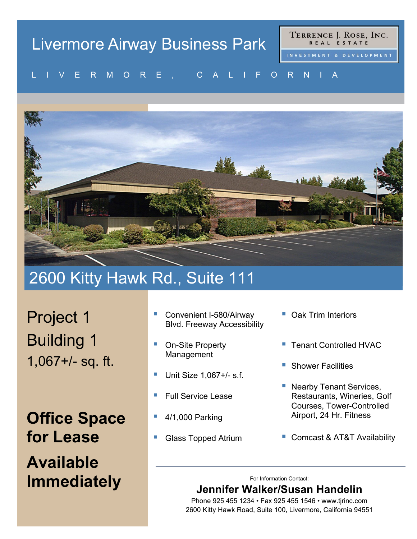# Livermore Airway Business Park

TERRENCE J. ROSE, INC. REAL ESTATE

#### VENMONE, UALIFONNIA LIVERMORE, CALIFORNIA



## 2600 Kitty Hawk Rd., Suite 111

Project 1 Building 1 1,067+/- sq. ft.

**Office Space for Lease Available Immediately**

- Convenient I-580/Airway Blvd. Freeway Accessibility
- On-Site Property Management
- Unit Size 1,067+/- s.f.
- Full Service Lease
- 4/1,000 Parking
- Glass Topped Atrium
- Oak Trim Interiors
- Tenant Controlled HVAC
- Shower Facilities
- **Nearby Tenant Services,** Restaurants, Wineries, Golf Courses, Tower-Controlled Airport, 24 Hr. Fitness
- Comcast & AT&T Availability

For Information Contact:

### **Jennifer Walker/Susan Handelin**

Phone 925 455 1234 • Fax 925 455 1546 • www.tjrinc.com 2600 Kitty Hawk Road, Suite 100, Livermore, California 94551